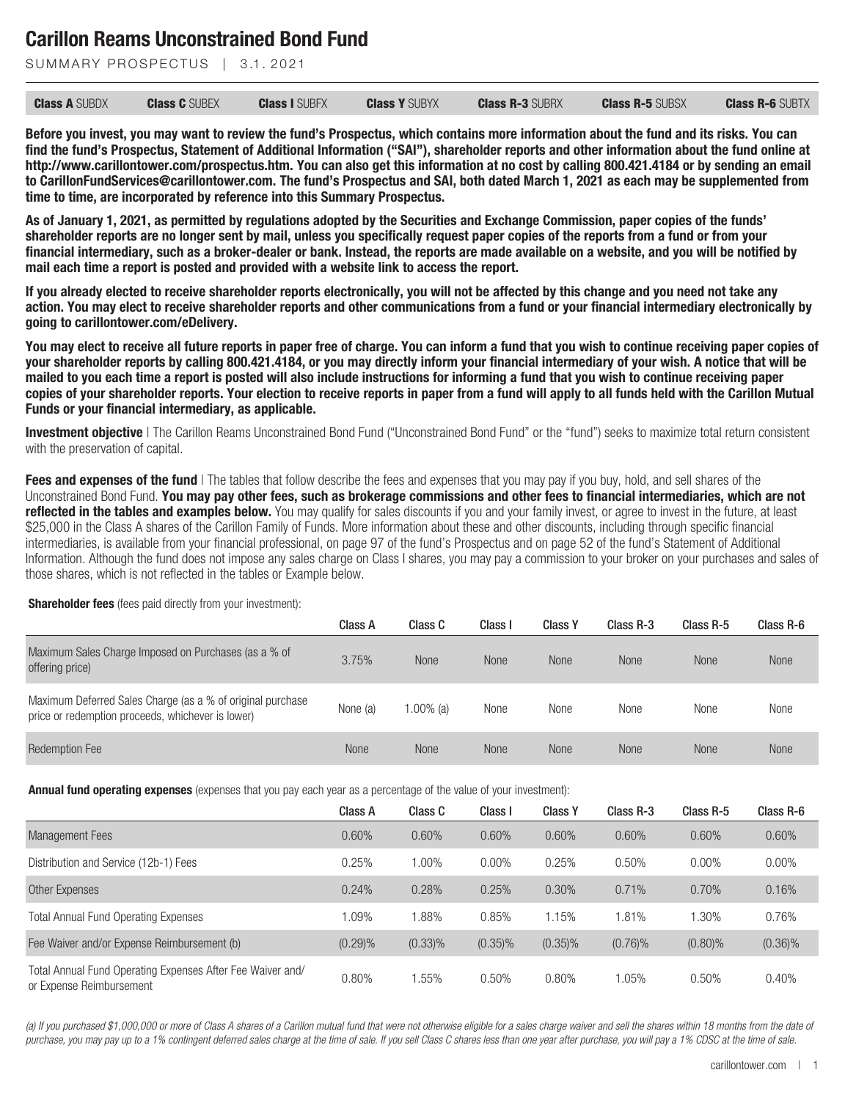SUMMARY PROSPECTUS | 3.1, 2021

| <b>Class A SUBDX</b> | <b>Class C</b> SUBEX | <b>Class I SUBFX</b> | <b>Class Y SUBYX</b> | <b>Class R-3 SUBRX</b> | <b>Class R-5 SUBSX</b> | <b>Class R-6 SUBTX</b> |
|----------------------|----------------------|----------------------|----------------------|------------------------|------------------------|------------------------|
|----------------------|----------------------|----------------------|----------------------|------------------------|------------------------|------------------------|

**Before you invest, you may want to review the fund's Prospectus, which contains more information about the fund and its risks. You can find the fund's Prospectus, Statement of Additional Information ("SAI"), shareholder reports and other information about the fund online at http://www.carillontower.com/prospectus.htm. You can also get this information at no cost by calling 800.421.4184 or by sending an email to CarillonFundServices@carillontower.com. The fund's Prospectus and SAI, both dated March 1, 2021 as each may be supplemented from time to time, are incorporated by reference into this Summary Prospectus.**

**As of January 1, 2021, as permitted by regulations adopted by the Securities and Exchange Commission, paper copies of the funds' shareholder reports are no longer sent by mail, unless you specifically request paper copies of the reports from a fund or from your financial intermediary, such as a broker-dealer or bank. Instead, the reports are made available on a website, and you will be notified by mail each time a report is posted and provided with a website link to access the report.**

**If you already elected to receive shareholder reports electronically, you will not be affected by this change and you need not take any action. You may elect to receive shareholder reports and other communications from a fund or your financial intermediary electronically by going to carillontower.com/eDelivery.**

**You may elect to receive all future reports in paper free of charge. You can inform a fund that you wish to continue receiving paper copies of your shareholder reports by calling 800.421.4184, or you may directly inform your financial intermediary of your wish. A notice that will be mailed to you each time a report is posted will also include instructions for informing a fund that you wish to continue receiving paper copies of your shareholder reports. Your election to receive reports in paper from a fund will apply to all funds held with the Carillon Mutual Funds or your financial intermediary, as applicable.**

**Investment objective** I The Carillon Reams Unconstrained Bond Fund ("Unconstrained Bond Fund" or the "fund") seeks to maximize total return consistent with the preservation of capital.

**Fees and expenses of the fund** | The tables that follow describe the fees and expenses that you may pay if you buy, hold, and sell shares of the Unconstrained Bond Fund. **You may pay other fees, such as brokerage commissions and other fees to financial intermediaries, which are not reflected in the tables and examples below.** You may qualify for sales discounts if you and your family invest, or agree to invest in the future, at least \$25,000 in the Class A shares of the Carillon Family of Funds. More information about these and other discounts, including through specific financial intermediaries, is available from your financial professional, on page 97 of the fund's Prospectus and on page 52 of the fund's Statement of Additional Information. Although the fund does not impose any sales charge on Class I shares, you may pay a commission to your broker on your purchases and sales of those shares, which is not reflected in the tables or Example below.

Class A Class C Class I Class Y Class R-3 Class R-5 Class R-6 Maximum Sales Charge Imposed on Purchases (as a % of offering price) 3.75% None None None None None None Maximum Deferred Sales Charge (as a % of original purchase maximum beterred pares priarge (as a 70 of original purchase the None (a) 1.00% (a) None None None None None None<br>price or redemption proceeds, whichever is lower) Redemption Fee None None None None None None None

**Shareholder fees** (fees paid directly from your investment):

**Annual fund operating expenses** (expenses that you pay each year as a percentage of the value of your investment):

|                                                                                        | Class A | Class C    | Class I    | <b>Class Y</b> | Class R-3  | Class R-5  | Class R-6  |
|----------------------------------------------------------------------------------------|---------|------------|------------|----------------|------------|------------|------------|
| <b>Management Fees</b>                                                                 | 0.60%   | 0.60%      | 0.60%      | 0.60%          | 0.60%      | 0.60%      | 0.60%      |
| Distribution and Service (12b-1) Fees                                                  | 0.25%   | 1.00%      | 0.00%      | 0.25%          | 0.50%      | $0.00\%$   | $0.00\%$   |
| Other Expenses                                                                         | 0.24%   | 0.28%      | 0.25%      | 0.30%          | 0.71%      | 0.70%      | 0.16%      |
| <b>Total Annual Fund Operating Expenses</b>                                            | 1.09%   | 1.88%      | 0.85%      | 1.15%          | 1.81%      | 1.30%      | 0.76%      |
| Fee Waiver and/or Expense Reimbursement (b)                                            | (0.29)% | $(0.33)\%$ | $(0.35)\%$ | $(0.35)\%$     | $(0.76)$ % | $(0.80)\%$ | $(0.36)\%$ |
| Total Annual Fund Operating Expenses After Fee Waiver and/<br>or Expense Reimbursement | 0.80%   | 1.55%      | 0.50%      | 0.80%          | 1.05%      | 0.50%      | 0.40%      |

*(a) If you purchased \$1,000,000 or more of Class A shares of a Carillon mutual fund that were not otherwise eligible for a sales charge waiver and sell the shares within 18 months from the date of purchase, you may pay up to a 1% contingent deferred sales charge at the time of sale. If you sell Class C shares less than one year after purchase, you will pay a 1% CDSC at the time of sale.*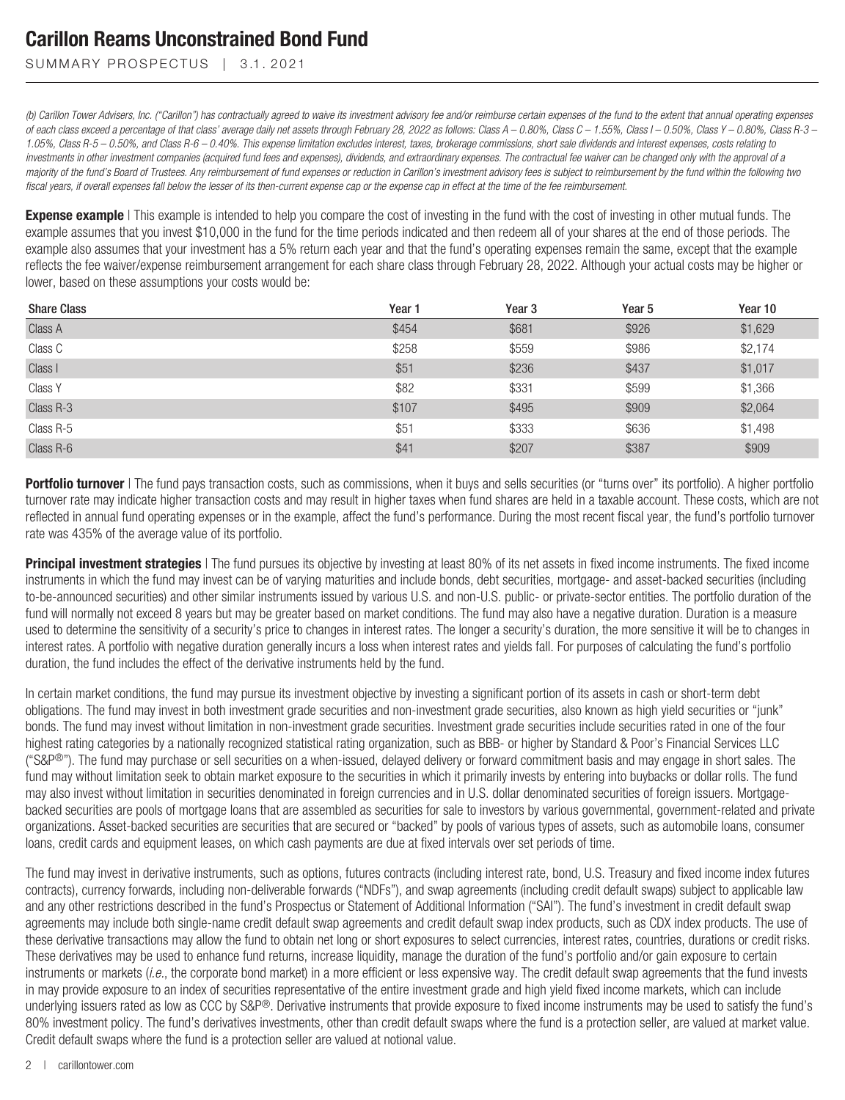SUMMARY PROSPECTUS | 3.1.2021

*(b) Carillon Tower Advisers, Inc. ("Carillon") has contractually agreed to waive its investment advisory fee and/or reimburse certain expenses of the fund to the extent that annual operating expenses of each class exceed a percentage of that class' average daily net assets through February 28, 2022 as follows: Class A – 0.80%, Class C – 1.55%, Class I – 0.50%, Class Y – 0.80%, Class R-3 – 1.05%, Class R-5 – 0.50%, and Class R-6 – 0.40%. This expense limitation excludes interest, taxes, brokerage commissions, short sale dividends and interest expenses, costs relating to investments in other investment companies (acquired fund fees and expenses), dividends, and extraordinary expenses. The contractual fee waiver can be changed only with the approval of a majority of the fund's Board of Trustees. Any reimbursement of fund expenses or reduction in Carillon's investment advisory fees is subject to reimbursement by the fund within the following two fiscal years, if overall expenses fall below the lesser of its then-current expense cap or the expense cap in effect at the time of the fee reimbursement.*

**Expense example** | This example is intended to help you compare the cost of investing in the fund with the cost of investing in other mutual funds. The example assumes that you invest \$10,000 in the fund for the time periods indicated and then redeem all of your shares at the end of those periods. The example also assumes that your investment has a 5% return each year and that the fund's operating expenses remain the same, except that the example reflects the fee waiver/expense reimbursement arrangement for each share class through February 28, 2022. Although your actual costs may be higher or lower, based on these assumptions your costs would be:

| <b>Share Class</b> | Year 1 | Year <sub>3</sub> | Year <sub>5</sub> | Year 10 |
|--------------------|--------|-------------------|-------------------|---------|
| Class A            | \$454  | \$681             | \$926             | \$1,629 |
| Class C            | \$258  | \$559             | \$986             | \$2,174 |
| Class I            | \$51   | \$236             | \$437             | \$1,017 |
| Class Y            | \$82   | \$331             | \$599             | \$1,366 |
| Class R-3          | \$107  | \$495             | \$909             | \$2,064 |
| Class R-5          | \$51   | \$333             | \$636             | \$1,498 |
| Class R-6          | \$41   | \$207             | \$387             | \$909   |

**Portfolio turnover** | The fund pays transaction costs, such as commissions, when it buys and sells securities (or "turns over" its portfolio). A higher portfolio turnover rate may indicate higher transaction costs and may result in higher taxes when fund shares are held in a taxable account. These costs, which are not reflected in annual fund operating expenses or in the example, affect the fund's performance. During the most recent fiscal year, the fund's portfolio turnover rate was 435% of the average value of its portfolio.

**Principal investment strategies** I The fund pursues its objective by investing at least 80% of its net assets in fixed income instruments. The fixed income instruments in which the fund may invest can be of varying maturities and include bonds, debt securities, mortgage- and asset-backed securities (including to-be-announced securities) and other similar instruments issued by various U.S. and non-U.S. public- or private-sector entities. The portfolio duration of the fund will normally not exceed 8 years but may be greater based on market conditions. The fund may also have a negative duration. Duration is a measure used to determine the sensitivity of a security's price to changes in interest rates. The longer a security's duration, the more sensitive it will be to changes in interest rates. A portfolio with negative duration generally incurs a loss when interest rates and yields fall. For purposes of calculating the fund's portfolio duration, the fund includes the effect of the derivative instruments held by the fund.

In certain market conditions, the fund may pursue its investment objective by investing a significant portion of its assets in cash or short-term debt obligations. The fund may invest in both investment grade securities and non-investment grade securities, also known as high yield securities or "junk" bonds. The fund may invest without limitation in non-investment grade securities. Investment grade securities include securities rated in one of the four highest rating categories by a nationally recognized statistical rating organization, such as BBB- or higher by Standard & Poor's Financial Services LLC ("S&P®"). The fund may purchase or sell securities on a when-issued, delayed delivery or forward commitment basis and may engage in short sales. The fund may without limitation seek to obtain market exposure to the securities in which it primarily invests by entering into buybacks or dollar rolls. The fund may also invest without limitation in securities denominated in foreign currencies and in U.S. dollar denominated securities of foreign issuers. Mortgagebacked securities are pools of mortgage loans that are assembled as securities for sale to investors by various governmental, government-related and private organizations. Asset-backed securities are securities that are secured or "backed" by pools of various types of assets, such as automobile loans, consumer loans, credit cards and equipment leases, on which cash payments are due at fixed intervals over set periods of time.

The fund may invest in derivative instruments, such as options, futures contracts (including interest rate, bond, U.S. Treasury and fixed income index futures contracts), currency forwards, including non-deliverable forwards ("NDFs"), and swap agreements (including credit default swaps) subject to applicable law and any other restrictions described in the fund's Prospectus or Statement of Additional Information ("SAI"). The fund's investment in credit default swap agreements may include both single-name credit default swap agreements and credit default swap index products, such as CDX index products. The use of these derivative transactions may allow the fund to obtain net long or short exposures to select currencies, interest rates, countries, durations or credit risks. These derivatives may be used to enhance fund returns, increase liquidity, manage the duration of the fund's portfolio and/or gain exposure to certain instruments or markets (*i.e.*, the corporate bond market) in a more efficient or less expensive way. The credit default swap agreements that the fund invests in may provide exposure to an index of securities representative of the entire investment grade and high yield fixed income markets, which can include underlying issuers rated as low as CCC by S&P®. Derivative instruments that provide exposure to fixed income instruments may be used to satisfy the fund's 80% investment policy. The fund's derivatives investments, other than credit default swaps where the fund is a protection seller, are valued at market value. Credit default swaps where the fund is a protection seller are valued at notional value.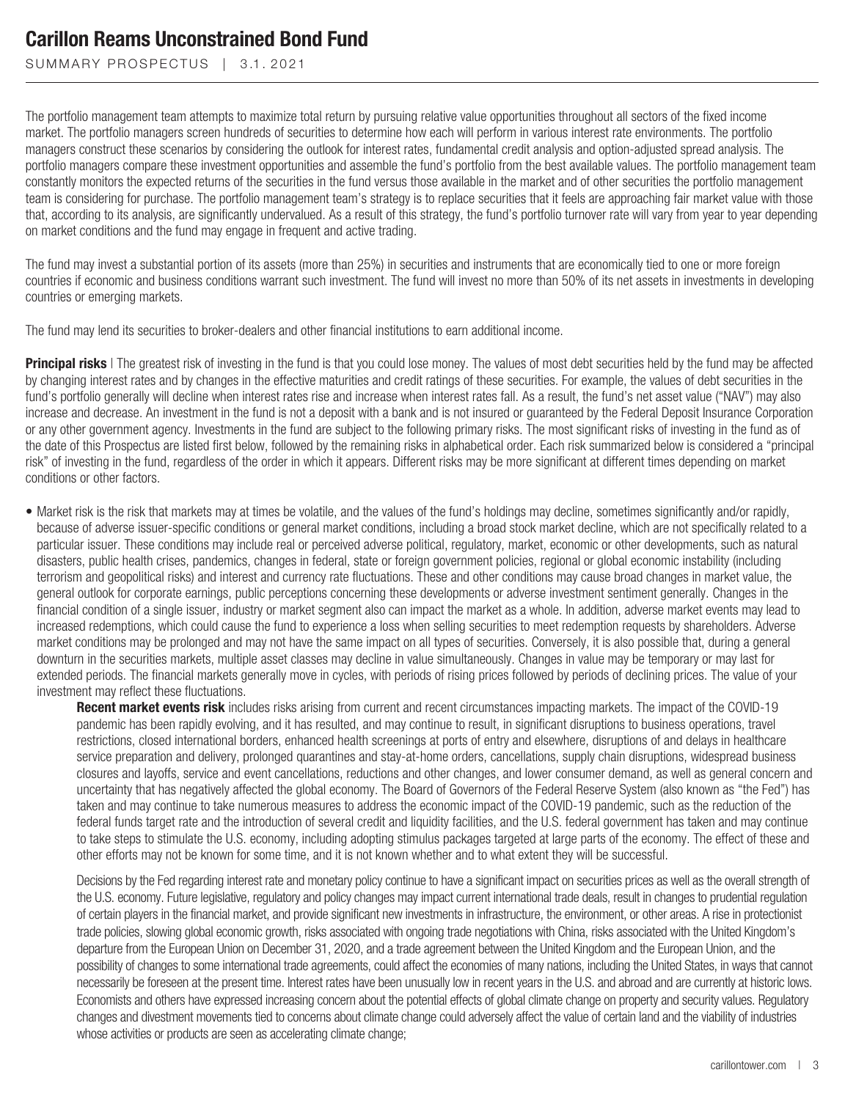SUMMARY PROSPECTUS | 3.1.2021

The portfolio management team attempts to maximize total return by pursuing relative value opportunities throughout all sectors of the fixed income market. The portfolio managers screen hundreds of securities to determine how each will perform in various interest rate environments. The portfolio managers construct these scenarios by considering the outlook for interest rates, fundamental credit analysis and option-adjusted spread analysis. The portfolio managers compare these investment opportunities and assemble the fund's portfolio from the best available values. The portfolio management team constantly monitors the expected returns of the securities in the fund versus those available in the market and of other securities the portfolio management team is considering for purchase. The portfolio management team's strategy is to replace securities that it feels are approaching fair market value with those that, according to its analysis, are significantly undervalued. As a result of this strategy, the fund's portfolio turnover rate will vary from year to year depending on market conditions and the fund may engage in frequent and active trading.

The fund may invest a substantial portion of its assets (more than 25%) in securities and instruments that are economically tied to one or more foreign countries if economic and business conditions warrant such investment. The fund will invest no more than 50% of its net assets in investments in developing countries or emerging markets.

The fund may lend its securities to broker-dealers and other financial institutions to earn additional income.

**Principal risks** | The greatest risk of investing in the fund is that you could lose money. The values of most debt securities held by the fund may be affected by changing interest rates and by changes in the effective maturities and credit ratings of these securities. For example, the values of debt securities in the fund's portfolio generally will decline when interest rates rise and increase when interest rates fall. As a result, the fund's net asset value ("NAV") may also increase and decrease. An investment in the fund is not a deposit with a bank and is not insured or guaranteed by the Federal Deposit Insurance Corporation or any other government agency. Investments in the fund are subject to the following primary risks. The most significant risks of investing in the fund as of the date of this Prospectus are listed first below, followed by the remaining risks in alphabetical order. Each risk summarized below is considered a "principal risk" of investing in the fund, regardless of the order in which it appears. Different risks may be more significant at different times depending on market conditions or other factors.

• Market risk is the risk that markets may at times be volatile, and the values of the fund's holdings may decline, sometimes significantly and/or rapidly, because of adverse issuer-specific conditions or general market conditions, including a broad stock market decline, which are not specifically related to a particular issuer. These conditions may include real or perceived adverse political, regulatory, market, economic or other developments, such as natural disasters, public health crises, pandemics, changes in federal, state or foreign government policies, regional or global economic instability (including terrorism and geopolitical risks) and interest and currency rate fluctuations. These and other conditions may cause broad changes in market value, the general outlook for corporate earnings, public perceptions concerning these developments or adverse investment sentiment generally. Changes in the financial condition of a single issuer, industry or market segment also can impact the market as a whole. In addition, adverse market events may lead to increased redemptions, which could cause the fund to experience a loss when selling securities to meet redemption requests by shareholders. Adverse market conditions may be prolonged and may not have the same impact on all types of securities. Conversely, it is also possible that, during a general downturn in the securities markets, multiple asset classes may decline in value simultaneously. Changes in value may be temporary or may last for extended periods. The financial markets generally move in cycles, with periods of rising prices followed by periods of declining prices. The value of your investment may reflect these fluctuations.

**Recent market events risk** includes risks arising from current and recent circumstances impacting markets. The impact of the COVID-19 pandemic has been rapidly evolving, and it has resulted, and may continue to result, in significant disruptions to business operations, travel restrictions, closed international borders, enhanced health screenings at ports of entry and elsewhere, disruptions of and delays in healthcare service preparation and delivery, prolonged quarantines and stay-at-home orders, cancellations, supply chain disruptions, widespread business closures and layoffs, service and event cancellations, reductions and other changes, and lower consumer demand, as well as general concern and uncertainty that has negatively affected the global economy. The Board of Governors of the Federal Reserve System (also known as "the Fed") has taken and may continue to take numerous measures to address the economic impact of the COVID-19 pandemic, such as the reduction of the federal funds target rate and the introduction of several credit and liquidity facilities, and the U.S. federal government has taken and may continue to take steps to stimulate the U.S. economy, including adopting stimulus packages targeted at large parts of the economy. The effect of these and other efforts may not be known for some time, and it is not known whether and to what extent they will be successful.

Decisions by the Fed regarding interest rate and monetary policy continue to have a significant impact on securities prices as well as the overall strength of the U.S. economy. Future legislative, regulatory and policy changes may impact current international trade deals, result in changes to prudential regulation of certain players in the financial market, and provide significant new investments in infrastructure, the environment, or other areas. A rise in protectionist trade policies, slowing global economic growth, risks associated with ongoing trade negotiations with China, risks associated with the United Kingdom's departure from the European Union on December 31, 2020, and a trade agreement between the United Kingdom and the European Union, and the possibility of changes to some international trade agreements, could affect the economies of many nations, including the United States, in ways that cannot necessarily be foreseen at the present time. Interest rates have been unusually low in recent years in the U.S. and abroad and are currently at historic lows. Economists and others have expressed increasing concern about the potential effects of global climate change on property and security values. Regulatory changes and divestment movements tied to concerns about climate change could adversely affect the value of certain land and the viability of industries whose activities or products are seen as accelerating climate change;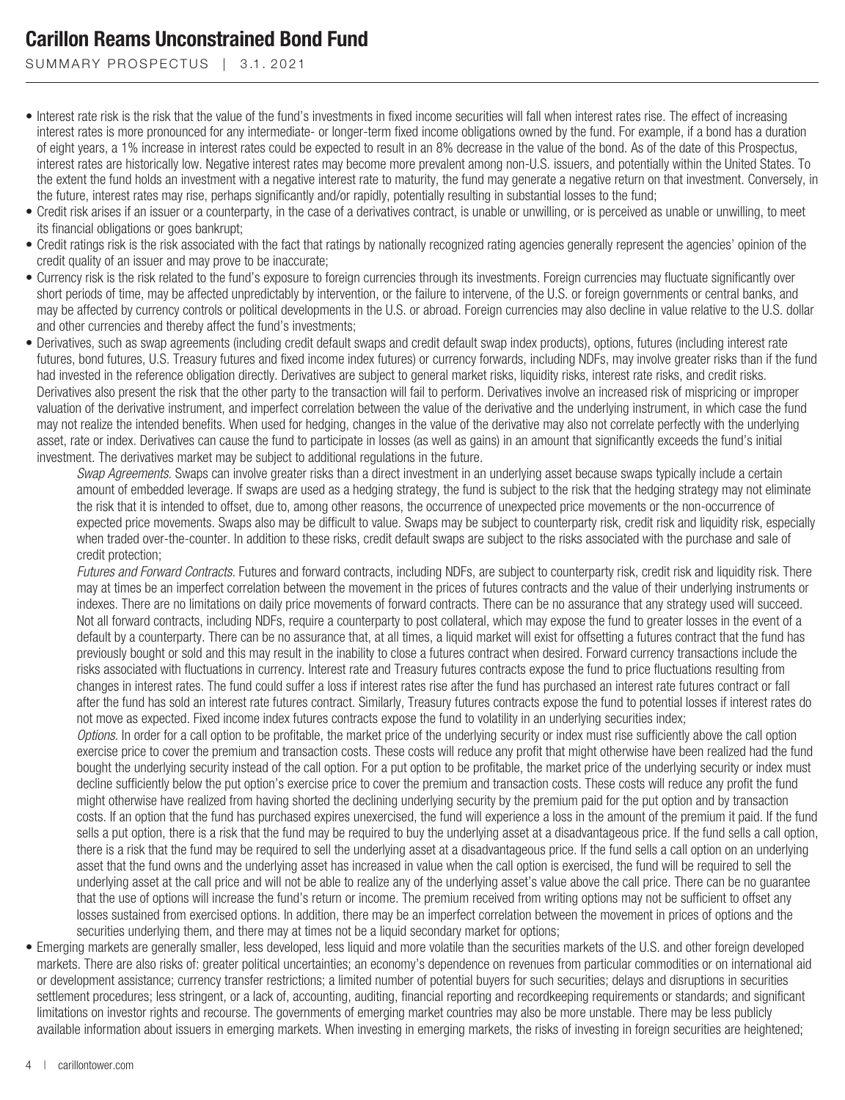SUMMARY PROSPECTUS | 3.1.2021

- Interest rate risk is the risk that the value of the fund's investments in fixed income securities will fall when interest rates rise. The effect of increasing interest rates is more pronounced for any intermediate- or longer-term fixed income obligations owned by the fund. For example, if a bond has a duration of eight years, a 1% increase in interest rates could be expected to result in an 8% decrease in the value of the bond. As of the date of this Prospectus, interest rates are historically low. Negative interest rates may become more prevalent among non-U.S. issuers, and potentially within the United States. To the extent the fund holds an investment with a negative interest rate to maturity, the fund may generate a negative return on that investment. Conversely, in the future, interest rates may rise, perhaps significantly and/or rapidly, potentially resulting in substantial losses to the fund;
- Credit risk arises if an issuer or a counterparty, in the case of a derivatives contract, is unable or unwilling, or is perceived as unable or unwilling, to meet its financial obligations or goes bankrupt;
- Credit ratings risk is the risk associated with the fact that ratings by nationally recognized rating agencies generally represent the agencies' opinion of the credit quality of an issuer and may prove to be inaccurate;
- Currency risk is the risk related to the fund's exposure to foreign currencies through its investments. Foreign currencies may fluctuate significantly over short periods of time, may be affected unpredictably by intervention, or the failure to intervene, of the U.S. or foreign governments or central banks, and may be affected by currency controls or political developments in the U.S. or abroad. Foreign currencies may also decline in value relative to the U.S. dollar and other currencies and thereby affect the fund's investments;
- Derivatives, such as swap agreements (including credit default swaps and credit default swap index products), options, futures (including interest rate futures, bond futures, U.S. Treasury futures and fixed income index futures) or currency forwards, including NDFs, may involve greater risks than if the fund had invested in the reference obligation directly. Derivatives are subject to general market risks, liquidity risks, interest rate risks, and credit risks. Derivatives also present the risk that the other party to the transaction will fail to perform. Derivatives involve an increased risk of mispricing or improper valuation of the derivative instrument, and imperfect correlation between the value of the derivative and the underlying instrument, in which case the fund may not realize the intended benefits. When used for hedging, changes in the value of the derivative may also not correlate perfectly with the underlying asset, rate or index. Derivatives can cause the fund to participate in losses (as well as gains) in an amount that significantly exceeds the fund's initial investment. The derivatives market may be subject to additional regulations in the future.

*Swap Agreements.* Swaps can involve greater risks than a direct investment in an underlying asset because swaps typically include a certain amount of embedded leverage. If swaps are used as a hedging strategy, the fund is subject to the risk that the hedging strategy may not eliminate the risk that it is intended to offset, due to, among other reasons, the occurrence of unexpected price movements or the non-occurrence of expected price movements. Swaps also may be difficult to value. Swaps may be subject to counterparty risk, credit risk and liquidity risk, especially when traded over-the-counter. In addition to these risks, credit default swaps are subject to the risks associated with the purchase and sale of credit protection;

*Futures and Forward Contracts.* Futures and forward contracts, including NDFs, are subject to counterparty risk, credit risk and liquidity risk. There may at times be an imperfect correlation between the movement in the prices of futures contracts and the value of their underlying instruments or indexes. There are no limitations on daily price movements of forward contracts. There can be no assurance that any strategy used will succeed. Not all forward contracts, including NDFs, require a counterparty to post collateral, which may expose the fund to greater losses in the event of a default by a counterparty. There can be no assurance that, at all times, a liquid market will exist for offsetting a futures contract that the fund has previously bought or sold and this may result in the inability to close a futures contract when desired. Forward currency transactions include the risks associated with fluctuations in currency. Interest rate and Treasury futures contracts expose the fund to price fluctuations resulting from changes in interest rates. The fund could suffer a loss if interest rates rise after the fund has purchased an interest rate futures contract or fall after the fund has sold an interest rate futures contract. Similarly, Treasury futures contracts expose the fund to potential losses if interest rates do not move as expected. Fixed income index futures contracts expose the fund to volatility in an underlying securities index;

*Options.* In order for a call option to be profitable, the market price of the underlying security or index must rise sufficiently above the call option exercise price to cover the premium and transaction costs. These costs will reduce any profit that might otherwise have been realized had the fund bought the underlying security instead of the call option. For a put option to be profitable, the market price of the underlying security or index must decline sufficiently below the put option's exercise price to cover the premium and transaction costs. These costs will reduce any profit the fund might otherwise have realized from having shorted the declining underlying security by the premium paid for the put option and by transaction costs. If an option that the fund has purchased expires unexercised, the fund will experience a loss in the amount of the premium it paid. If the fund sells a put option, there is a risk that the fund may be required to buy the underlying asset at a disadvantageous price. If the fund sells a call option, there is a risk that the fund may be required to sell the underlying asset at a disadvantageous price. If the fund sells a call option on an underlying asset that the fund owns and the underlying asset has increased in value when the call option is exercised, the fund will be required to sell the underlying asset at the call price and will not be able to realize any of the underlying asset's value above the call price. There can be no guarantee that the use of options will increase the fund's return or income. The premium received from writing options may not be sufficient to offset any losses sustained from exercised options. In addition, there may be an imperfect correlation between the movement in prices of options and the securities underlying them, and there may at times not be a liquid secondary market for options;

• Emerging markets are generally smaller, less developed, less liquid and more volatile than the securities markets of the U.S. and other foreign developed markets. There are also risks of: greater political uncertainties; an economy's dependence on revenues from particular commodities or on international aid or development assistance; currency transfer restrictions; a limited number of potential buyers for such securities; delays and disruptions in securities settlement procedures; less stringent, or a lack of, accounting, auditing, financial reporting and recordkeeping requirements or standards; and significant limitations on investor rights and recourse. The governments of emerging market countries may also be more unstable. There may be less publicly available information about issuers in emerging markets. When investing in emerging markets, the risks of investing in foreign securities are heightened;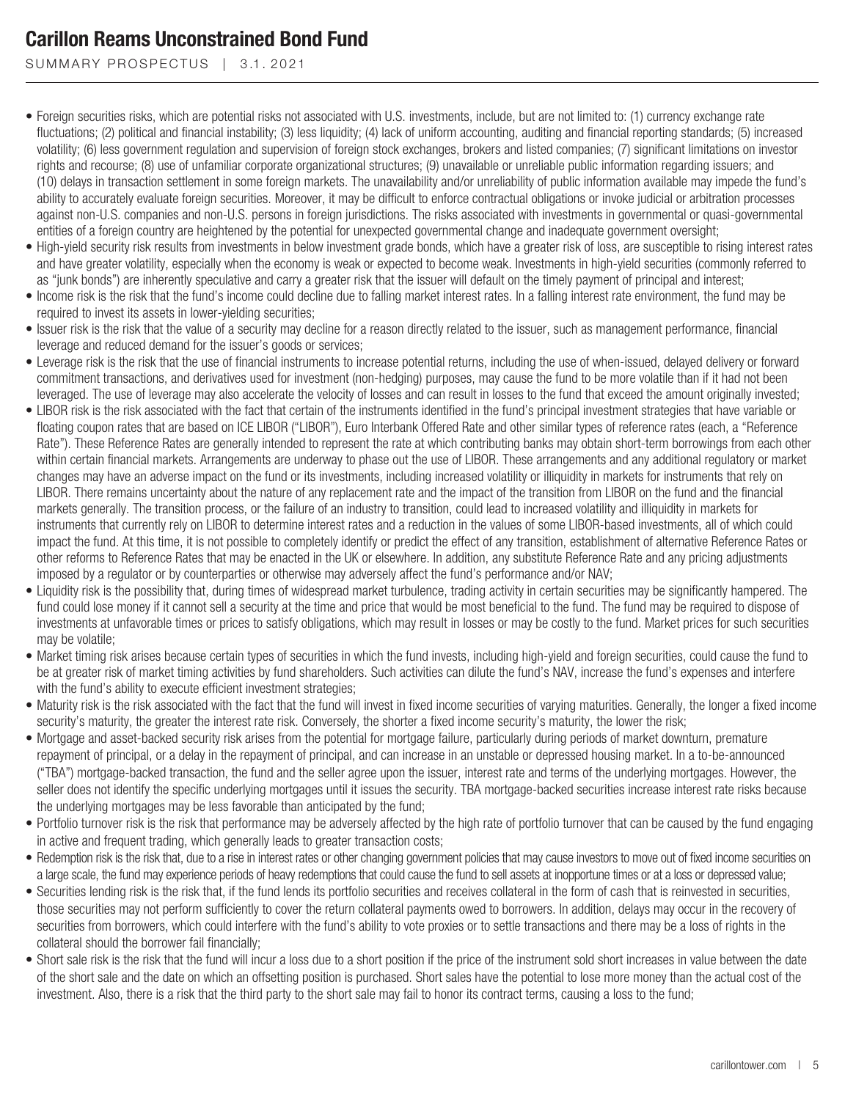SUMMARY PROSPECTUS | 3.1.2021

- Foreign securities risks, which are potential risks not associated with U.S. investments, include, but are not limited to: (1) currency exchange rate fluctuations; (2) political and financial instability; (3) less liquidity; (4) lack of uniform accounting, auditing and financial reporting standards; (5) increased volatility; (6) less government regulation and supervision of foreign stock exchanges, brokers and listed companies; (7) significant limitations on investor rights and recourse; (8) use of unfamiliar corporate organizational structures; (9) unavailable or unreliable public information regarding issuers; and (10) delays in transaction settlement in some foreign markets. The unavailability and/or unreliability of public information available may impede the fund's ability to accurately evaluate foreign securities. Moreover, it may be difficult to enforce contractual obligations or invoke judicial or arbitration processes against non-U.S. companies and non-U.S. persons in foreign jurisdictions. The risks associated with investments in governmental or quasi-governmental entities of a foreign country are heightened by the potential for unexpected governmental change and inadequate government oversight;
- High-yield security risk results from investments in below investment grade bonds, which have a greater risk of loss, are susceptible to rising interest rates and have greater volatility, especially when the economy is weak or expected to become weak. Investments in high-yield securities (commonly referred to as "junk bonds") are inherently speculative and carry a greater risk that the issuer will default on the timely payment of principal and interest;
- Income risk is the risk that the fund's income could decline due to falling market interest rates. In a falling interest rate environment, the fund may be required to invest its assets in lower-yielding securities;
- Issuer risk is the risk that the value of a security may decline for a reason directly related to the issuer, such as management performance, financial leverage and reduced demand for the issuer's goods or services;
- Leverage risk is the risk that the use of financial instruments to increase potential returns, including the use of when-issued, delayed delivery or forward commitment transactions, and derivatives used for investment (non-hedging) purposes, may cause the fund to be more volatile than if it had not been leveraged. The use of leverage may also accelerate the velocity of losses and can result in losses to the fund that exceed the amount originally invested;
- LIBOR risk is the risk associated with the fact that certain of the instruments identified in the fund's principal investment strategies that have variable or floating coupon rates that are based on ICE LIBOR ("LIBOR"), Euro Interbank Offered Rate and other similar types of reference rates (each, a "Reference Rate"). These Reference Rates are generally intended to represent the rate at which contributing banks may obtain short-term borrowings from each other within certain financial markets. Arrangements are underway to phase out the use of LIBOR. These arrangements and any additional regulatory or market changes may have an adverse impact on the fund or its investments, including increased volatility or illiquidity in markets for instruments that rely on LIBOR. There remains uncertainty about the nature of any replacement rate and the impact of the transition from LIBOR on the fund and the financial markets generally. The transition process, or the failure of an industry to transition, could lead to increased volatility and illiquidity in markets for instruments that currently rely on LIBOR to determine interest rates and a reduction in the values of some LIBOR-based investments, all of which could impact the fund. At this time, it is not possible to completely identify or predict the effect of any transition, establishment of alternative Reference Rates or other reforms to Reference Rates that may be enacted in the UK or elsewhere. In addition, any substitute Reference Rate and any pricing adjustments imposed by a regulator or by counterparties or otherwise may adversely affect the fund's performance and/or NAV;
- Liquidity risk is the possibility that, during times of widespread market turbulence, trading activity in certain securities may be significantly hampered. The fund could lose money if it cannot sell a security at the time and price that would be most beneficial to the fund. The fund may be required to dispose of investments at unfavorable times or prices to satisfy obligations, which may result in losses or may be costly to the fund. Market prices for such securities may be volatile;
- Market timing risk arises because certain types of securities in which the fund invests, including high-yield and foreign securities, could cause the fund to be at greater risk of market timing activities by fund shareholders. Such activities can dilute the fund's NAV, increase the fund's expenses and interfere with the fund's ability to execute efficient investment strategies;
- Maturity risk is the risk associated with the fact that the fund will invest in fixed income securities of varying maturities. Generally, the longer a fixed income security's maturity, the greater the interest rate risk. Conversely, the shorter a fixed income security's maturity, the lower the risk;
- Mortgage and asset-backed security risk arises from the potential for mortgage failure, particularly during periods of market downturn, premature repayment of principal, or a delay in the repayment of principal, and can increase in an unstable or depressed housing market. In a to-be-announced ("TBA") mortgage-backed transaction, the fund and the seller agree upon the issuer, interest rate and terms of the underlying mortgages. However, the seller does not identify the specific underlying mortgages until it issues the security. TBA mortgage-backed securities increase interest rate risks because the underlying mortgages may be less favorable than anticipated by the fund;
- Portfolio turnover risk is the risk that performance may be adversely affected by the high rate of portfolio turnover that can be caused by the fund engaging in active and frequent trading, which generally leads to greater transaction costs;
- Redemption risk is the risk that, due to a rise in interest rates or other changing government policies that may cause investors to move out of fixed income securities on a large scale, the fund may experience periods of heavy redemptions that could cause the fund to sell assets at inopportune times or at a loss or depressed value;
- Securities lending risk is the risk that, if the fund lends its portfolio securities and receives collateral in the form of cash that is reinvested in securities, those securities may not perform sufficiently to cover the return collateral payments owed to borrowers. In addition, delays may occur in the recovery of securities from borrowers, which could interfere with the fund's ability to vote proxies or to settle transactions and there may be a loss of rights in the collateral should the borrower fail financially;
- Short sale risk is the risk that the fund will incur a loss due to a short position if the price of the instrument sold short increases in value between the date of the short sale and the date on which an offsetting position is purchased. Short sales have the potential to lose more money than the actual cost of the investment. Also, there is a risk that the third party to the short sale may fail to honor its contract terms, causing a loss to the fund;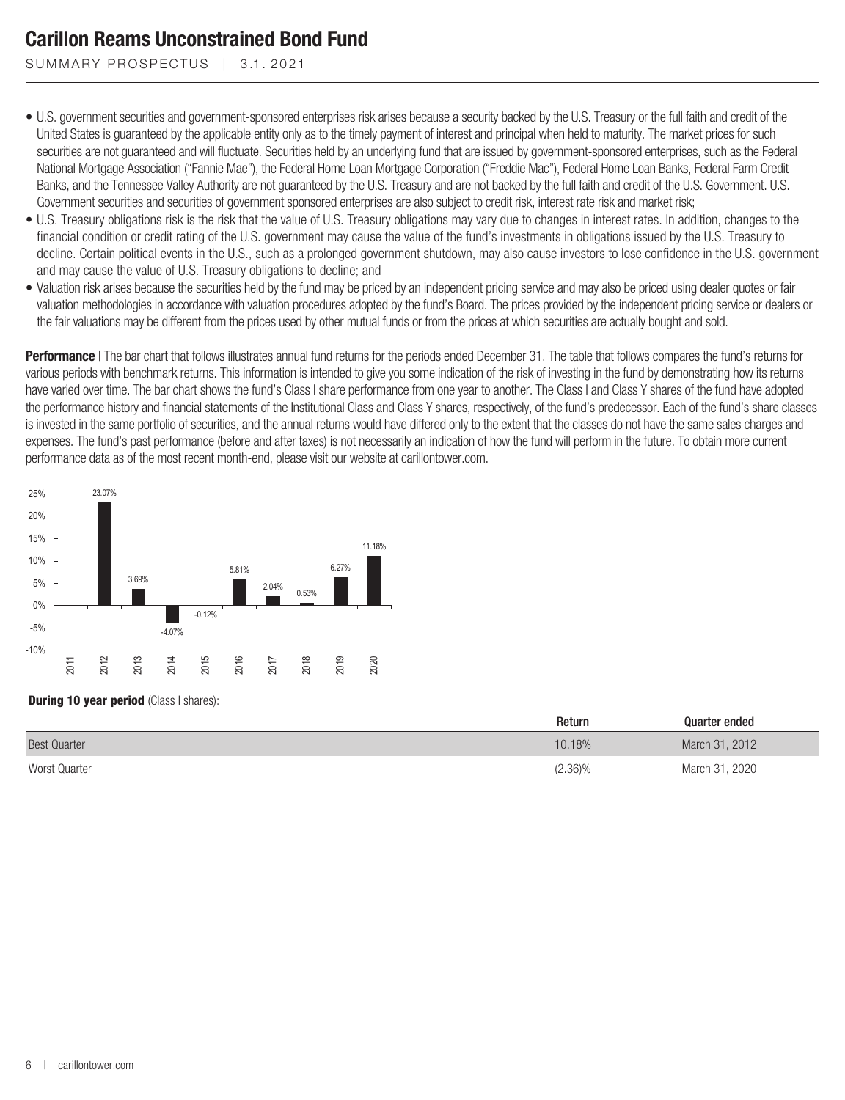SUMMARY PROSPECTUS | 3.1.2021

- U.S. government securities and government-sponsored enterprises risk arises because a security backed by the U.S. Treasury or the full faith and credit of the United States is guaranteed by the applicable entity only as to the timely payment of interest and principal when held to maturity. The market prices for such securities are not guaranteed and will fluctuate. Securities held by an underlying fund that are issued by government-sponsored enterprises, such as the Federal National Mortgage Association ("Fannie Mae"), the Federal Home Loan Mortgage Corporation ("Freddie Mac"), Federal Home Loan Banks, Federal Farm Credit Banks, and the Tennessee Valley Authority are not guaranteed by the U.S. Treasury and are not backed by the full faith and credit of the U.S. Government. U.S. Government securities and securities of government sponsored enterprises are also subject to credit risk, interest rate risk and market risk;
- U.S. Treasury obligations risk is the risk that the value of U.S. Treasury obligations may vary due to changes in interest rates. In addition, changes to the financial condition or credit rating of the U.S. government may cause the value of the fund's investments in obligations issued by the U.S. Treasury to decline. Certain political events in the U.S., such as a prolonged government shutdown, may also cause investors to lose confidence in the U.S. government and may cause the value of U.S. Treasury obligations to decline; and
- Valuation risk arises because the securities held by the fund may be priced by an independent pricing service and may also be priced using dealer quotes or fair valuation methodologies in accordance with valuation procedures adopted by the fund's Board. The prices provided by the independent pricing service or dealers or the fair valuations may be different from the prices used by other mutual funds or from the prices at which securities are actually bought and sold.

**Performance** | The bar chart that follows illustrates annual fund returns for the periods ended December 31. The table that follows compares the fund's returns for various periods with benchmark returns. This information is intended to give you some indication of the risk of investing in the fund by demonstrating how its returns have varied over time. The bar chart shows the fund's Class I share performance from one year to another. The Class I and Class Y shares of the fund have adopted the performance history and financial statements of the Institutional Class and Class Y shares, respectively, of the fund's predecessor. Each of the fund's share classes is invested in the same portfolio of securities, and the annual returns would have differed only to the extent that the classes do not have the same sales charges and expenses. The fund's past performance (before and after taxes) is not necessarily an indication of how the fund will perform in the future. To obtain more current performance data as of the most recent month-end, please visit our website at carillontower.com.



#### **During 10 year period** (Class I shares):

|                     | Return     | Quarter ended  |
|---------------------|------------|----------------|
| <b>Best Quarter</b> | 10.18%     | March 31, 2012 |
| Worst Quarter       | $(2.36)\%$ | March 31, 2020 |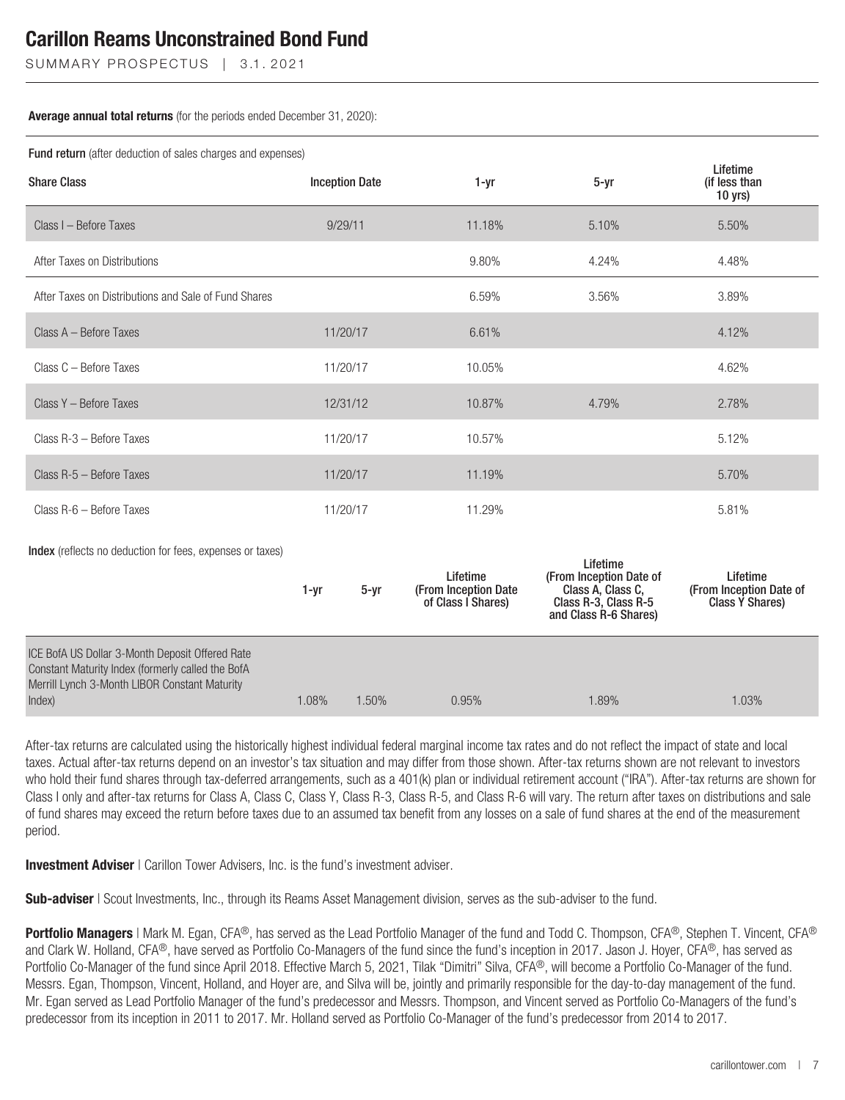SUMMARY PROSPECTUS | 3.1.2021

#### **Average annual total returns** (for the periods ended December 31, 2020):

Fund return (after deduction of sales charges and expenses)

| <b>I alla Totalli</b> (altor doddotion of baloo ontargoo and oxponedo<br>Lifetime                                                                               |          |                       |                                                        |                                                                                                           |                                                        |  |  |
|-----------------------------------------------------------------------------------------------------------------------------------------------------------------|----------|-----------------------|--------------------------------------------------------|-----------------------------------------------------------------------------------------------------------|--------------------------------------------------------|--|--|
| <b>Share Class</b>                                                                                                                                              |          | <b>Inception Date</b> | 1-yr                                                   | $5 - yr$                                                                                                  | (if less than<br>$10$ yrs)                             |  |  |
| Class I - Before Taxes                                                                                                                                          |          | 9/29/11               | 11.18%                                                 | 5.10%                                                                                                     | 5.50%                                                  |  |  |
| After Taxes on Distributions                                                                                                                                    |          |                       | 9.80%                                                  | 4.24%                                                                                                     | 4.48%                                                  |  |  |
| After Taxes on Distributions and Sale of Fund Shares                                                                                                            |          |                       | 6.59%                                                  | 3.56%                                                                                                     | 3.89%                                                  |  |  |
| Class A - Before Taxes                                                                                                                                          |          | 11/20/17              | 6.61%                                                  |                                                                                                           | 4.12%                                                  |  |  |
| Class C - Before Taxes                                                                                                                                          |          | 11/20/17              | 10.05%                                                 |                                                                                                           | 4.62%                                                  |  |  |
| Class Y - Before Taxes                                                                                                                                          |          | 12/31/12              | 10.87%                                                 | 4.79%                                                                                                     | 2.78%                                                  |  |  |
| Class R-3 - Before Taxes                                                                                                                                        |          | 11/20/17              | 10.57%                                                 |                                                                                                           | 5.12%                                                  |  |  |
| Class R-5 - Before Taxes                                                                                                                                        |          | 11/20/17              | 11.19%                                                 |                                                                                                           | 5.70%                                                  |  |  |
| Class R-6 - Before Taxes                                                                                                                                        |          | 11/20/17              | 11.29%                                                 |                                                                                                           | 5.81%                                                  |  |  |
| <b>Index</b> (reflects no deduction for fees, expenses or taxes)                                                                                                | $1 - yr$ | $5 - yr$              | Lifetime<br>(From Inception Date<br>of Class I Shares) | Lifetime<br>(From Inception Date of<br>Class A, Class C,<br>Class R-3, Class R-5<br>and Class R-6 Shares) | Lifetime<br>(From Inception Date of<br>Class Y Shares) |  |  |
| ICE BofA US Dollar 3-Month Deposit Offered Rate<br>Constant Maturity Index (formerly called the BofA<br>Merrill Lynch 3-Month LIBOR Constant Maturity<br>Index) | 1.08%    | 1.50%                 | 0.95%                                                  | 1.89%                                                                                                     | 1.03%                                                  |  |  |

After-tax returns are calculated using the historically highest individual federal marginal income tax rates and do not reflect the impact of state and local taxes. Actual after-tax returns depend on an investor's tax situation and may differ from those shown. After-tax returns shown are not relevant to investors who hold their fund shares through tax-deferred arrangements, such as a 401(k) plan or individual retirement account ("IRA"). After-tax returns are shown for Class I only and after-tax returns for Class A, Class C, Class Y, Class R-3, Class R-5, and Class R-6 will vary. The return after taxes on distributions and sale of fund shares may exceed the return before taxes due to an assumed tax benefit from any losses on a sale of fund shares at the end of the measurement period.

**Investment Adviser** | Carillon Tower Advisers, Inc. is the fund's investment adviser.

**Sub-adviser** | Scout Investments, Inc., through its Reams Asset Management division, serves as the sub-adviser to the fund.

**Portfolio Managers** | Mark M. Egan, CFA®, has served as the Lead Portfolio Manager of the fund and Todd C. Thompson, CFA®, Stephen T. Vincent, CFA® and Clark W. Holland, CFA®, have served as Portfolio Co-Managers of the fund since the fund's inception in 2017. Jason J. Hoyer, CFA®, has served as Portfolio Co-Manager of the fund since April 2018. Effective March 5, 2021, Tilak "Dimitri" Silva, CFA®, will become a Portfolio Co-Manager of the fund. Messrs. Egan, Thompson, Vincent, Holland, and Hoyer are, and Silva will be, jointly and primarily responsible for the day-to-day management of the fund. Mr. Egan served as Lead Portfolio Manager of the fund's predecessor and Messrs. Thompson, and Vincent served as Portfolio Co-Managers of the fund's predecessor from its inception in 2011 to 2017. Mr. Holland served as Portfolio Co-Manager of the fund's predecessor from 2014 to 2017.